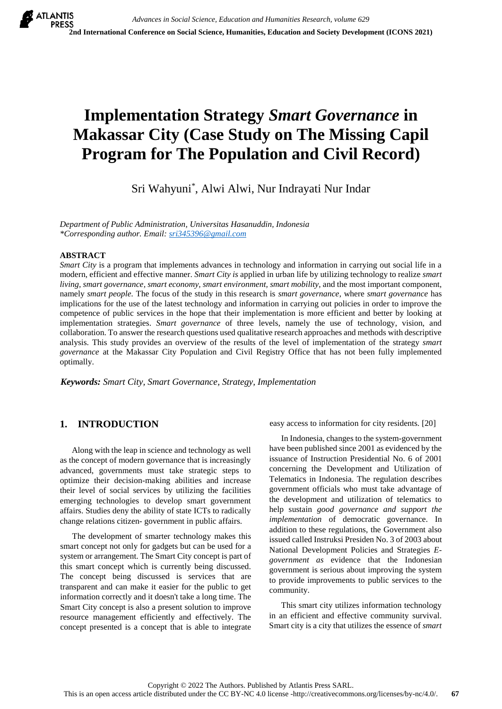# **Implementation Strategy** *Smart Governance* **in Makassar City (Case Study on The Missing Capil Program for The Population and Civil Record)**

Sri Wahyuni\* , Alwi Alwi, Nur Indrayati Nur Indar

*Department of Public Administration, Universitas Hasanuddin, Indonesia \*Corresponding author. Email: [sri345396@gmail.com](mailto:sri345396@gmail.com)*

#### **ABSTRACT**

*Smart City* is a program that implements advances in technology and information in carrying out social life in a modern, efficient and effective manner. *Smart City is* applied in urban life by utilizing technology to realize *smart living, smart governance, smart economy, smart environment, smart mobility*, and the most important component, namely *smart people.* The focus of the study in this research is *smart governance*, where *smart governance* has implications for the use of the latest technology and information in carrying out policies in order to improve the competence of public services in the hope that their implementation is more efficient and better by looking at implementation strategies. *Smart governance* of three levels, namely the use of technology, vision, and collaboration. To answer the research questions used qualitative research approaches and methods with descriptive analysis. This study provides an overview of the results of the level of implementation of the strategy *smart governance* at the Makassar City Population and Civil Registry Office that has not been fully implemented optimally.

*Keywords: Smart City, Smart Governance, Strategy, Implementation*

# **1. INTRODUCTION**

Along with the leap in science and technology as well as the concept of modern governance that is increasingly advanced, governments must take strategic steps to optimize their decision-making abilities and increase their level of social services by utilizing the facilities emerging technologies to develop smart government affairs. Studies deny the ability of state ICTs to radically change relations citizen- government in public affairs.

The development of smarter technology makes this smart concept not only for gadgets but can be used for a system or arrangement. The Smart City concept is part of this smart concept which is currently being discussed. The concept being discussed is services that are transparent and can make it easier for the public to get information correctly and it doesn't take a long time. The Smart City concept is also a present solution to improve resource management efficiently and effectively. The concept presented is a concept that is able to integrate easy access to information for city residents. [20]

In Indonesia, changes to the system-government have been published since 2001 as evidenced by the issuance of Instruction Presidential No. 6 of 2001 concerning the Development and Utilization of Telematics in Indonesia. The regulation describes government officials who must take advantage of the development and utilization of telematics to help sustain *good governance and support the implementation* of democratic governance. In addition to these regulations, the Government also issued called Instruksi Presiden No. 3 of 2003 about National Development Policies and Strategies *Egovernment as* evidence that the Indonesian government is serious about improving the system to provide improvements to public services to the community.

This smart city utilizes information technology in an efficient and effective community survival. Smart city is a city that utilizes the essence of *smart*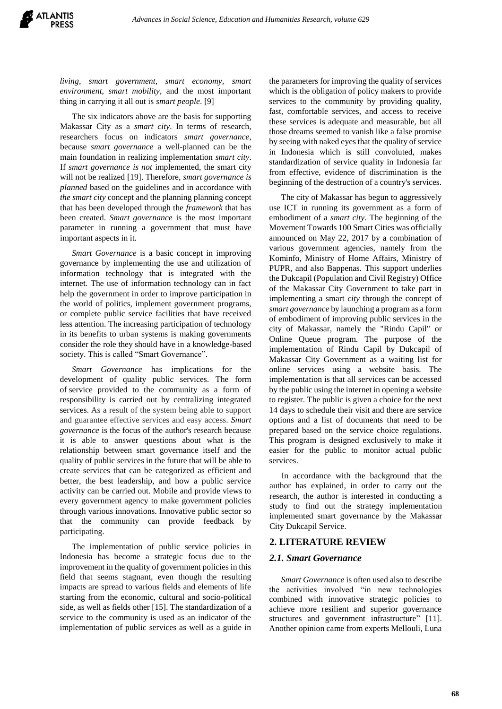*living, smart government, smart economy, smart environment, smart mobility*, and the most important thing in carrying it all out is *smart people*. [9]

The six indicators above are the basis for supporting Makassar City as a *smart city*. In terms of research, researchers focus on indicators *smart governance*, because *smart governance* a well-planned can be the main foundation in realizing implementation *smart city*. If *smart governance is not* implemented, the smart city will not be realized [19]. Therefore, *smart governance is planned* based on the guidelines and in accordance with *the smart city* concept and the planning planning concept that has been developed through the *framework* that has been created. *Smart governance* is the most important parameter in running a government that must have important aspects in it.

*Smart Governance* is a basic concept in improving governance by implementing the use and utilization of information technology that is integrated with the internet. The use of information technology can in fact help the government in order to improve participation in the world of politics, implement government programs, or complete public service facilities that have received less attention. The increasing participation of technology in its benefits to urban systems is making governments consider the role they should have in a knowledge-based society. This is called "Smart Governance".

*Smart Governance* has implications for the development of quality public services. The form of service provided to the community as a form of responsibility is carried out by centralizing integrated services. As a result of the system being able to support and guarantee effective services and easy access. *Smart governance* is the focus of the author's research because it is able to answer questions about what is the relationship between smart governance itself and the quality of public services in the future that will be able to create services that can be categorized as efficient and better, the best leadership, and how a public service activity can be carried out. Mobile and provide views to every government agency to make government policies through various innovations. Innovative public sector so that the community can provide feedback by participating.

The implementation of public service policies in Indonesia has become a strategic focus due to the improvement in the quality of government policies in this field that seems stagnant, even though the resulting impacts are spread to various fields and elements of life starting from the economic, cultural and socio-political side, as well as fields other [15]. The standardization of a service to the community is used as an indicator of the implementation of public services as well as a guide in

the parameters for improving the quality of services which is the obligation of policy makers to provide services to the community by providing quality, fast, comfortable services, and access to receive these services is adequate and measurable, but all those dreams seemed to vanish like a false promise by seeing with naked eyes that the quality of service in Indonesia which is still convoluted, makes standardization of service quality in Indonesia far from effective, evidence of discrimination is the beginning of the destruction of a country's services.

The city of Makassar has begun to aggressively use ICT in running its government as a form of embodiment of a *smart city*. The beginning of the Movement Towards 100 Smart Cities was officially announced on May 22, 2017 by a combination of various government agencies, namely from the Kominfo, Ministry of Home Affairs, Ministry of PUPR, and also Bappenas. This support underlies the Dukcapil (Population and Civil Registry) Office of the Makassar City Government to take part in implementing a smart *city* through the concept of *smart governance* by launching a program as a form of embodiment of improving public services in the city of Makassar, namely the "Rindu Capil" or Online Queue program. The purpose of the implementation of Rindu Capil by Dukcapil of Makassar City Government as a waiting list for online services using a website basis. The implementation is that all services can be accessed by the public using the internet in opening a website to register. The public is given a choice for the next 14 days to schedule their visit and there are service options and a list of documents that need to be prepared based on the service choice regulations. This program is designed exclusively to make it easier for the public to monitor actual public services.

In accordance with the background that the author has explained, in order to carry out the research, the author is interested in conducting a study to find out the strategy implementation implemented smart governance by the Makassar City Dukcapil Service.

## **2. LITERATURE REVIEW**

#### *2.1. Smart Governance*

*Smart Governance* is often used also to describe the activities involved "in new technologies combined with innovative strategic policies to achieve more resilient and superior governance structures and government infrastructure" [11]. Another opinion came from experts Mellouli, Luna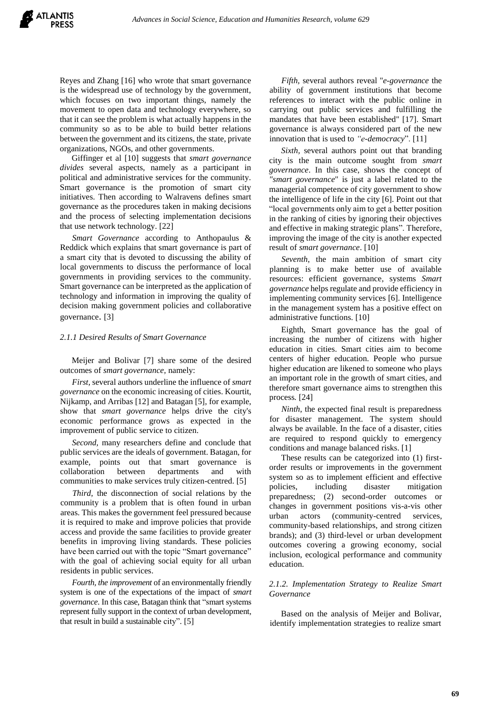Reyes and Zhang [16] who wrote that smart governance is the widespread use of technology by the government, which focuses on two important things, namely the movement to open data and technology everywhere, so that it can see the problem is what actually happens in the community so as to be able to build better relations between the government and its citizens, the state, private organizations, NGOs, and other governments.

Giffinger et al [10] suggests that *smart governance divides* several aspects, namely as a participant in political and administrative services for the community. Smart governance is the promotion of smart city initiatives. Then according to Walravens defines smart governance as the procedures taken in making decisions and the process of selecting implementation decisions that use network technology. [22]

*Smart Governance* according to Anthopaulus & Reddick which explains that smart governance is part of a smart city that is devoted to discussing the ability of local governments to discuss the performance of local governments in providing services to the community. Smart governance can be interpreted as the application of technology and information in improving the quality of decision making government policies and collaborative governance. [3]

#### *2.1.1 Desired Results of Smart Governance*

Meijer and Bolivar [7] share some of the desired outcomes of *smart governance,* namely:

*First,* several authors underline the influence of *smart governance* on the economic increasing of cities. Kourtit, Nijkamp, and Arribas [12] and Batagan [5], for example, show that *smart governance* helps drive the city's economic performance grows as expected in the improvement of public service to citizen.

*Second,* many researchers define and conclude that public services are the ideals of government. Batagan, for example, points out that smart governance is collaboration between departments and with communities to make services truly citizen-centred. [5]

*Third*, the disconnection of social relations by the community is a problem that is often found in urban areas. This makes the government feel pressured because it is required to make and improve policies that provide access and provide the same facilities to provide greater benefits in improving living standards. These policies have been carried out with the topic "Smart governance" with the goal of achieving social equity for all urban residents in public services.

*Fourth, the improvement* of an environmentally friendly system is one of the expectations of the impact of *smart governance*. In this case, Batagan think that "smart systems represent fully support in the context of urban development, that result in build a sustainable city". [5]

*Fifth,* several authors reveal ''*e-governance* the ability of government institutions that become references to interact with the public online in carrying out public services and fulfilling the mandates that have been established'' [17]. Smart governance is always considered part of the new innovation that is used to *"e-democracy*". [11]

*Sixth,* several authors point out that branding city is the main outcome sought from *smart governance*. In this case, shows the concept of *"smart governance*" is just a label related to the managerial competence of city government to show the intelligence of life in the city [6]. Point out that "local governments only aim to get a better position in the ranking of cities by ignoring their objectives and effective in making strategic plans". Therefore, improving the image of the city is another expected result of *smart governance*. [10]

*Seventh*, the main ambition of smart city planning is to make better use of available resources: efficient governance, systems *Smart governance* helps regulate and provide efficiency in implementing community services [6]. Intelligence in the management system has a positive effect on administrative functions. [10]

Eighth, Smart governance has the goal of increasing the number of citizens with higher education in cities. Smart cities aim to become centers of higher education. People who pursue higher education are likened to someone who plays an important role in the growth of smart cities, and therefore smart governance aims to strengthen this process*.* [24]

*Ninth*, the expected final result is preparedness for disaster management. The system should always be available. In the face of a disaster, cities are required to respond quickly to emergency conditions and manage balanced risks. [1]

These results can be categorized into (1) firstorder results or improvements in the government system so as to implement efficient and effective policies, including disaster mitigation preparedness; (2) second-order outcomes or changes in government positions vis-a-vis other urban actors (community-centred services, community-based relationships, and strong citizen brands); and (3) third-level or urban development outcomes covering a growing economy, social inclusion, ecological performance and community education.

#### *2.1.2. Implementation Strategy to Realize Smart Governance*

Based on the analysis of Meijer and Bolivar, identify implementation strategies to realize smart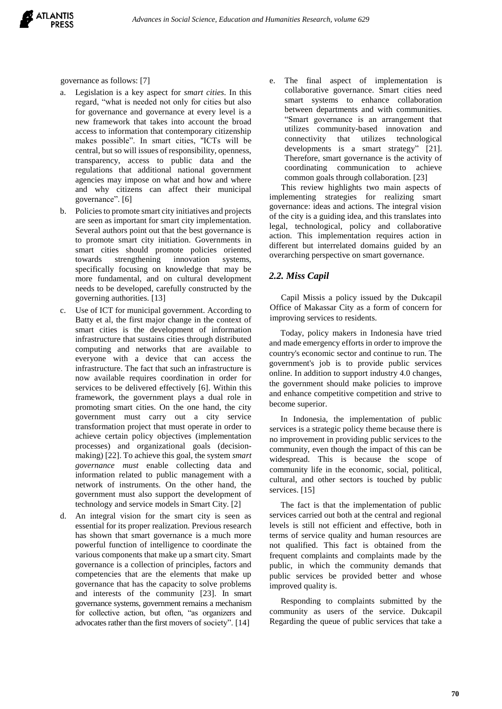

governance as follows: [7]

- a. Legislation is a key aspect for *smart cities*. In this regard, "what is needed not only for cities but also for governance and governance at every level is a new framework that takes into account the broad access to information that contemporary citizenship makes possible". In smart cities, ''ICTs will be central, but so will issues of responsibility, openness, transparency, access to public data and the regulations that additional national government agencies may impose on what and how and where and why citizens can affect their municipal governance". [6]
- b. Policies to promote smart city initiatives and projects are seen as important for smart city implementation. Several authors point out that the best governance is to promote smart city initiation. Governments in smart cities should promote policies oriented towards strengthening innovation systems, specifically focusing on knowledge that may be more fundamental, and on cultural development needs to be developed, carefully constructed by the governing authorities. [13]
- c. Use of ICT for municipal government. According to Batty et al, the first major change in the context of smart cities is the development of information infrastructure that sustains cities through distributed computing and networks that are available to everyone with a device that can access the infrastructure. The fact that such an infrastructure is now available requires coordination in order for services to be delivered effectively [6]. Within this framework, the government plays a dual role in promoting smart cities. On the one hand, the city government must carry out a city service transformation project that must operate in order to achieve certain policy objectives (implementation processes) and organizational goals (decisionmaking) [22]. To achieve this goal, the system *smart governance must* enable collecting data and information related to public management with a network of instruments. On the other hand, the government must also support the development of technology and service models in Smart City. [2]
- d. An integral vision for the smart city is seen as essential for its proper realization. Previous research has shown that smart governance is a much more powerful function of intelligence to coordinate the various components that make up a smart city. Smart governance is a collection of principles, factors and competencies that are the elements that make up governance that has the capacity to solve problems and interests of the community [23]. In smart governance systems, government remains a mechanism for collective action, but often, "as organizers and advocates rather than the first movers of society". [14]

e. The final aspect of implementation is collaborative governance. Smart cities need smart systems to enhance collaboration between departments and with communities. "Smart governance is an arrangement that utilizes community-based innovation and connectivity that utilizes technological developments is a smart strategy" [21]. Therefore, smart governance is the activity of coordinating communication to achieve common goals through collaboration. [23]

This review highlights two main aspects of implementing strategies for realizing smart governance: ideas and actions. The integral vision of the city is a guiding idea, and this translates into legal, technological, policy and collaborative action. This implementation requires action in different but interrelated domains guided by an overarching perspective on smart governance.

#### *2.2. Miss Capil*

Capil Missis a policy issued by the Dukcapil Office of Makassar City as a form of concern for improving services to residents.

Today, policy makers in Indonesia have tried and made emergency efforts in order to improve the country's economic sector and continue to run. The government's job is to provide public services online. In addition to support industry 4.0 changes, the government should make policies to improve and enhance competitive competition and strive to become superior.

In Indonesia, the implementation of public services is a strategic policy theme because there is no improvement in providing public services to the community, even though the impact of this can be widespread. This is because the scope of community life in the economic, social, political, cultural, and other sectors is touched by public services. [15]

The fact is that the implementation of public services carried out both at the central and regional levels is still not efficient and effective, both in terms of service quality and human resources are not qualified. This fact is obtained from the frequent complaints and complaints made by the public, in which the community demands that public services be provided better and whose improved quality is.

Responding to complaints submitted by the community as users of the service. Dukcapil Regarding the queue of public services that take a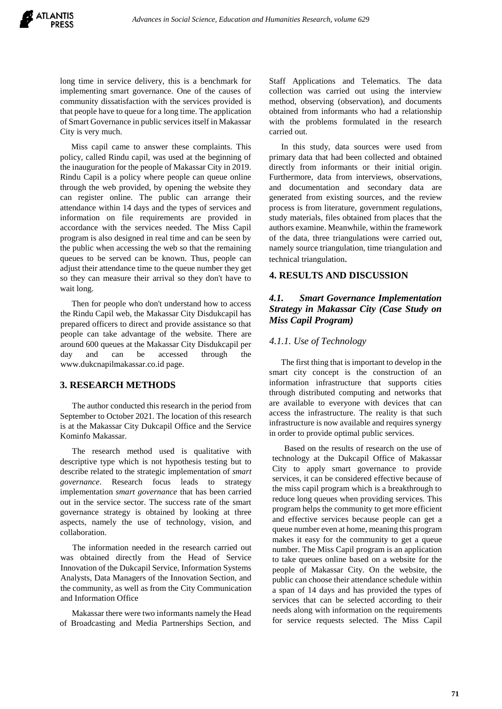long time in service delivery, this is a benchmark for implementing smart governance. One of the causes of community dissatisfaction with the services provided is that people have to queue for a long time. The application of Smart Governance in public services itself in Makassar City is very much.

Miss capil came to answer these complaints. This policy, called Rindu capil, was used at the beginning of the inauguration for the people of Makassar City in 2019. Rindu Capil is a policy where people can queue online through the web provided, by opening the website they can register online. The public can arrange their attendance within 14 days and the types of services and information on file requirements are provided in accordance with the services needed. The Miss Capil program is also designed in real time and can be seen by the public when accessing the web so that the remaining queues to be served can be known. Thus, people can adjust their attendance time to the queue number they get so they can measure their arrival so they don't have to wait long.

Then for people who don't understand how to access the Rindu Capil web, the Makassar City Disdukcapil has prepared officers to direct and provide assistance so that people can take advantage of the website. There are around 600 queues at the Makassar City Disdukcapil per day and can be accessed through the www.dukcnapilmakassar.co.id page.

### **3. RESEARCH METHODS**

The author conducted this research in the period from September to October 2021. The location of this research is at the Makassar City Dukcapil Office and the Service Kominfo Makassar.

The research method used is qualitative with descriptive type which is not hypothesis testing but to describe related to the strategic implementation of *smart governance*. Research focus leads to strategy implementation *smart governance* that has been carried out in the service sector. The success rate of the smart governance strategy is obtained by looking at three aspects, namely the use of technology, vision, and collaboration.

The information needed in the research carried out was obtained directly from the Head of Service Innovation of the Dukcapil Service, Information Systems Analysts, Data Managers of the Innovation Section, and the community, as well as from the City Communication and Information Office

Makassar there were two informants namely the Head of Broadcasting and Media Partnerships Section, and Staff Applications and Telematics. The data collection was carried out using the interview method, observing (observation), and documents obtained from informants who had a relationship with the problems formulated in the research carried out.

In this study, data sources were used from primary data that had been collected and obtained directly from informants or their initial origin. Furthermore, data from interviews, observations, and documentation and secondary data are generated from existing sources, and the review process is from literature, government regulations, study materials, files obtained from places that the authors examine. Meanwhile, within the framework of the data, three triangulations were carried out, namely source triangulation, time triangulation and technical triangulation.

## **4. RESULTS AND DISCUSSION**

## *4.1. Smart Governance Implementation Strategy in Makassar City (Case Study on Miss Capil Program)*

#### *4.1.1. Use of Technology*

The first thing that is important to develop in the smart city concept is the construction of an information infrastructure that supports cities through distributed computing and networks that are available to everyone with devices that can access the infrastructure. The reality is that such infrastructure is now available and requires synergy in order to provide optimal public services.

Based on the results of research on the use of technology at the Dukcapil Office of Makassar City to apply smart governance to provide services, it can be considered effective because of the miss capil program which is a breakthrough to reduce long queues when providing services. This program helps the community to get more efficient and effective services because people can get a queue number even at home, meaning this program makes it easy for the community to get a queue number. The Miss Capil program is an application to take queues online based on a website for the people of Makassar City. On the website, the public can choose their attendance schedule within a span of 14 days and has provided the types of services that can be selected according to their needs along with information on the requirements for service requests selected. The Miss Capil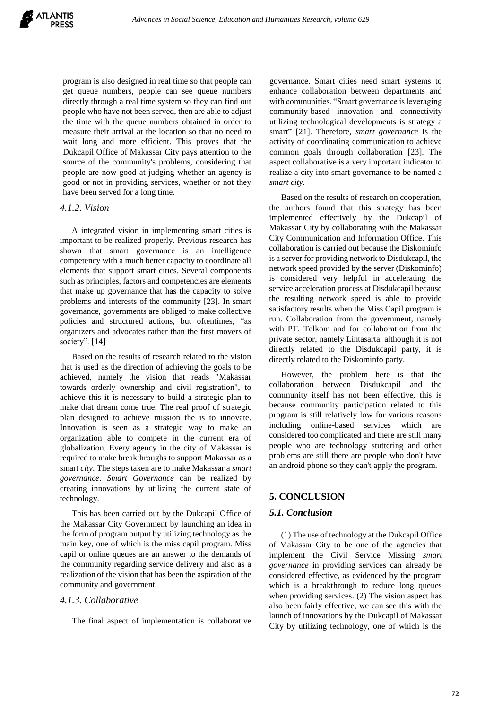program is also designed in real time so that people can get queue numbers, people can see queue numbers directly through a real time system so they can find out people who have not been served, then are able to adjust the time with the queue numbers obtained in order to measure their arrival at the location so that no need to wait long and more efficient. This proves that the Dukcapil Office of Makassar City pays attention to the source of the community's problems, considering that people are now good at judging whether an agency is good or not in providing services, whether or not they have been served for a long time.

#### *4.1.2. Vision*

A integrated vision in implementing smart cities is important to be realized properly. Previous research has shown that smart governance is an intelligence competency with a much better capacity to coordinate all elements that support smart cities. Several components such as principles, factors and competencies are elements that make up governance that has the capacity to solve problems and interests of the community [23]. In smart governance, governments are obliged to make collective policies and structured actions, but oftentimes, "as organizers and advocates rather than the first movers of society". [14]

Based on the results of research related to the vision that is used as the direction of achieving the goals to be achieved, namely the vision that reads "Makassar towards orderly ownership and civil registration", to achieve this it is necessary to build a strategic plan to make that dream come true. The real proof of strategic plan designed to achieve mission the is to innovate. Innovation is seen as a strategic way to make an organization able to compete in the current era of globalization. Every agency in the city of Makassar is required to make breakthroughs to support Makassar as a smart *city*. The steps taken are to make Makassar a *smart governance*. *Smart Governance* can be realized by creating innovations by utilizing the current state of technology.

This has been carried out by the Dukcapil Office of the Makassar City Government by launching an idea in the form of program output by utilizing technology as the main key, one of which is the miss capil program. Miss capil or online queues are an answer to the demands of the community regarding service delivery and also as a realization of the vision that has been the aspiration of the community and government.

## *4.1.3. Collaborative*

The final aspect of implementation is collaborative

governance. Smart cities need smart systems to enhance collaboration between departments and with communities. "Smart governance is leveraging community-based innovation and connectivity utilizing technological developments is strategy a smart" [21]. Therefore, *smart governance* is the activity of coordinating communication to achieve common goals through collaboration [23]. The aspect collaborative is a very important indicator to realize a city into smart governance to be named a *smart city*.

Based on the results of research on cooperation, the authors found that this strategy has been implemented effectively by the Dukcapil of Makassar City by collaborating with the Makassar City Communication and Information Office. This collaboration is carried out because the Diskominfo is a server for providing network to Disdukcapil, the network speed provided by the server (Diskominfo) is considered very helpful in accelerating the service acceleration process at Disdukcapil because the resulting network speed is able to provide satisfactory results when the Miss Capil program is run. Collaboration from the government, namely with PT. Telkom and for collaboration from the private sector, namely Lintasarta, although it is not directly related to the Disdukcapil party, it is directly related to the Diskominfo party.

However, the problem here is that the collaboration between Disdukcapil and the community itself has not been effective, this is because community participation related to this program is still relatively low for various reasons including online-based services which are considered too complicated and there are still many people who are technology stuttering and other problems are still there are people who don't have an android phone so they can't apply the program.

#### **5. CONCLUSION**

## *5.1. Conclusion*

(1) The use of technology at the Dukcapil Office of Makassar City to be one of the agencies that implement the Civil Service Missing *smart governance* in providing services can already be considered effective, as evidenced by the program which is a breakthrough to reduce long queues when providing services. (2) The vision aspect has also been fairly effective, we can see this with the launch of innovations by the Dukcapil of Makassar City by utilizing technology, one of which is the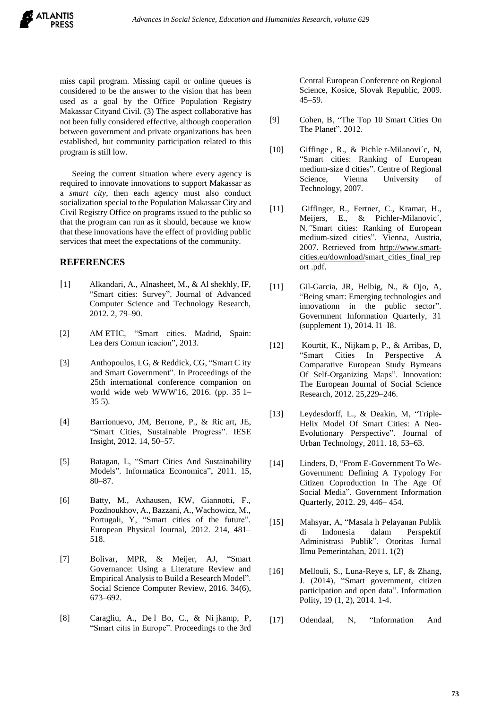

miss capil program. Missing capil or online queues is considered to be the answer to the vision that has been used as a goal by the Office Population Registry Makassar Cityand Civil. (3) The aspect collaborative has not been fully considered effective, although cooperation between government and private organizations has been established, but community participation related to this program is still low.

Seeing the current situation where every agency is required to innovate innovations to support Makassar as a *smart city*, then each agency must also conduct socialization special to the Population Makassar City and Civil Registry Office on programs issued to the public so that the program can run as it should, because we know that these innovations have the effect of providing public services that meet the expectations of the community.

#### **REFERENCES**

- [1] Alkandari, A., Alnasheet, M., & Al shekhly, IF, "Smart cities: Survey". Journal of Advanced Computer Science and Technology Research, 2012. 2, 79–90.
- [2] AM ETIC, "Smart cities. Madrid, Spain: Lea ders Comun icacion", 2013.
- [3] Anthopoulos, LG, & Reddick, CG, "Smart C ity and Smart Government". In Proceedings of the 25th international conference companion on world wide web WWW'16, 2016. (pp. 35.1– 35.5).
- [4] Barrionuevo, JM, Berrone, P., & Ric art, JE, "Smart Cities, Sustainable Progress". IESE Insight, 2012. 14, 50–57.
- [5] Batagan, L, "Smart Cities And Sustainability Models". Informatica Economica", 2011. 15, 80–87.
- [6] Batty, M., Axhausen, KW, Giannotti, F., Pozdnoukhov, A., Bazzani, A., Wachowicz, M., Portugali, Y, "Smart cities of the future". European Physical Journal, 2012. 214, 481– 518.
- [7] Bolivar, MPR, & Meijer, AJ, "Smart Governance: Using a Literature Review and Empirical Analysis to Build a Research Model". Social Science Computer Review, 2016. 34(6), 673–692.
- [8] Caragliu, A., De l Bo, C., & Ni jkamp, P, "Smart citis in Europe". Proceedings to the 3rd

Central European Conference on Regional Science, Kosice, Slovak Republic, 2009. 45–59.

- [9] Cohen, B, "The Top 10 Smart Cities On The Planet". 2012.
- [10] Giffinge, R., & Pichler-Milanović, N, "Smart cities: Ranking of European medium-size d cities". Centre of Regional Science, Vienna University of Technology, 2007.
- [11] Giffinger, R., Fertner, C., Kramar, H., Meijers, E., & Pichler-Milanovic´, N*,"*Smart cities: Ranking of European medium-sized cities". Vienna, Austria, 2007. Retrieved from http://www.smartcities.eu/download/smart\_cities\_final\_rep ort..pdf.
- [11] Gil-Garcia, JR, Helbig, N., & Ojo, A, "Being smart: Emerging technologies and innovationn in the public sector". Government Information Quarterly, 31 (supplement 1), 2014. I1–I8.
- [12] Kourtit, K., Nijkam p, P., & Arribas, D, "Smart Cities In Perspective A Comparative European Study Bymeans Of Self-Organizing Maps". Innovation: The European Journal of Social Science Research, 2012. 25,229–246.
- [13] Leydesdorff, L., & Deakin, M, "Triple-Helix Model Of Smart Cities: A Neo-Evolutionary Perspective". Journal of Urban Technology, 2011. 18, 53–63.
- [14] Linders, D, "From E-Government To We-Government: Defining A Typology For Citizen Coproduction In The Age Of Social Media". Government Information Quarterly, 2012. 29, 446– 454.
- [15] Mahsyar, A, "Masala h Pelayanan Publik di Indonesia dalam Perspektif Administrasi Publik". Otoritas Jurnal Ilmu Pemerintahan, 2011. 1(2)
- [16] Mellouli, S., Luna-Reye s, LF, & Zhang, J. (2014), "Smart government, citizen participation and open data". Information Polity, 19 (1, 2), 2014. 1-4.
- [17] Odendaal, N, "Information And